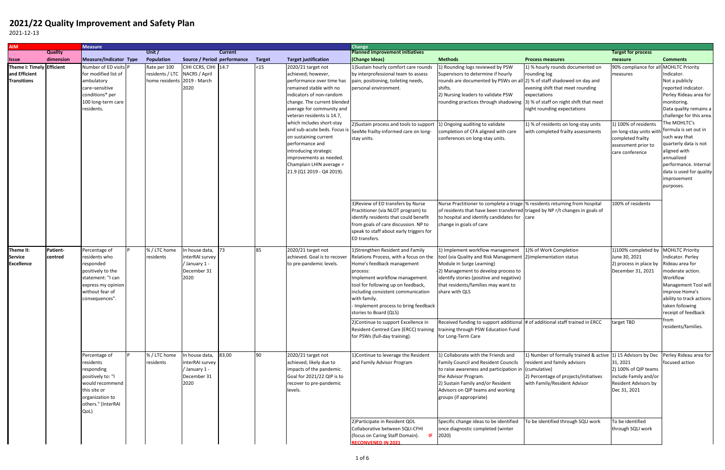## **2021/22 Quality Improvement and Safety Plan**

2021-12-13

| <b>AIM</b>                                |                             | <b>Measure</b>                                                                                                                                    |  |                                                              |                                                                           |                |               |                                                                                                                                                                                                                    | <b>Change</b>                                                                                                                                                                                                                                                                                                         |                                                                                                                                                                                                                                                                             |                                                                                                                                                                       |                                                                                                                |                                                                                                                                                                                                                |
|-------------------------------------------|-----------------------------|---------------------------------------------------------------------------------------------------------------------------------------------------|--|--------------------------------------------------------------|---------------------------------------------------------------------------|----------------|---------------|--------------------------------------------------------------------------------------------------------------------------------------------------------------------------------------------------------------------|-----------------------------------------------------------------------------------------------------------------------------------------------------------------------------------------------------------------------------------------------------------------------------------------------------------------------|-----------------------------------------------------------------------------------------------------------------------------------------------------------------------------------------------------------------------------------------------------------------------------|-----------------------------------------------------------------------------------------------------------------------------------------------------------------------|----------------------------------------------------------------------------------------------------------------|----------------------------------------------------------------------------------------------------------------------------------------------------------------------------------------------------------------|
|                                           | <b>Quality</b><br>dimension | Measure/Indicator Type                                                                                                                            |  | Unit /<br>Population                                         | Source / Period performance                                               | <b>Current</b> | <b>Target</b> | <b>Target justification</b>                                                                                                                                                                                        | <b>Planned improvement initiatives</b>                                                                                                                                                                                                                                                                                | <b>Methods</b>                                                                                                                                                                                                                                                              | <b>Process measures</b>                                                                                                                                               | <b>Target for process</b>                                                                                      |                                                                                                                                                                                                                |
| <b>Issue</b><br>Theme I: Timely Efficient |                             | Number of ED visits P                                                                                                                             |  | Rate per 100                                                 | CIHI CCRS, CIHI 14.7                                                      |                | $15$          | 2020/21 target not                                                                                                                                                                                                 | (Change Ideas)<br>1) Sustain hourly comfort care rounds                                                                                                                                                                                                                                                               | 1) Rounding logs reviewed by PSW                                                                                                                                                                                                                                            | 1) % hourly rounds documented on                                                                                                                                      | measure<br>90% compliance for al                                                                               | <b>Comments</b><br><b>MOHLTC Priority</b>                                                                                                                                                                      |
| and Efficient<br><b>Transitions</b>       |                             | for modified list of<br>ambulatory<br>care-sensitive<br>conditions* per<br>100 long-term care<br>residents.                                       |  | residents / LTC NACRS / April<br>home residents 2019 - March | 2020                                                                      |                |               | achieved; however,<br>performance over time has<br>remained stable with no<br>indicators of non-random<br>change. The current blended<br>average for community and<br>veteran residents is 14.7,                   | by interprofessional team to assess<br>pain, positioning, toileting needs,<br>personal environment.                                                                                                                                                                                                                   | Supervisors to determine if hourly<br>rounds are documented by PSWs on all 2) % of staff shadowed on day and<br>shifts.<br>2) Nursing leaders to validate PSW<br>rounding practices through shadowing 3) % of staff on night shift that meet                                | rounding log<br>evening shift that meet rounding<br>expectations<br>night rounding expectations                                                                       | measures                                                                                                       | Indicator.<br>Not a publicly<br>reported indicator.<br>Perley Rideau area for<br>monitoring.<br>Data quality remains a<br>challenge for this area.                                                             |
|                                           |                             |                                                                                                                                                   |  |                                                              |                                                                           |                |               | which includes short-stay<br>and sub-acute beds. Focus is<br>on sustaining current<br>performance and<br>introducing strategic<br>improvements as needed.<br>Champlain LHIN average =<br>21.9 (Q1 2019 - Q4 2019). | 2) Sustain process and tools to support<br>SeeMe frailty-informed care on long-<br>stay units.                                                                                                                                                                                                                        | 1) Ongoing auditing to validate<br>completion of CFA aligned with care<br>conferences on long-stay units.                                                                                                                                                                   | 1) % of residents on long-stay units<br>with completed frailty assessments                                                                                            | 1) 100% of residents<br>on long-stay units with<br>completed frailty<br>assessment prior to<br>care conference | The MOHLTC's<br>formula is set out in<br>such way that<br>quarterly data is not<br>aligned with<br>annualized<br>performance. Internal<br>data is used for quality<br>improvement<br>purposes.                 |
|                                           |                             |                                                                                                                                                   |  |                                                              |                                                                           |                |               |                                                                                                                                                                                                                    | 3) Review of ED transfers by Nurse<br>Practitioner (via NLOT program) to<br>identify residents that could benefit<br>from goals of care discussion. NP to<br>speak to staff about early triggers for<br>ED transfers.                                                                                                 | Nurse Practitioner to complete a triage  % residents returning from hospital<br>of residents that have been transferred triaged by NP r/t changes in goals of<br>to hospital and identify candidates for care<br>change in goals of care                                    |                                                                                                                                                                       | 100% of residents                                                                                              |                                                                                                                                                                                                                |
| Theme II:<br>Service<br><b>Excellence</b> | Patient-<br>centred         | Percentage of<br>residents who<br>responded<br>positively to the<br>statement: "I can<br>express my opinion<br>without fear of<br>consequences".  |  | % / LTC home<br>residents                                    | In house data,<br>interRAI survey<br>/ January 1 -<br>December 31<br>2020 | 73             | 85            | 2020/21 target not<br>achieved. Goal is to recover<br>to pre-pandemic levels.                                                                                                                                      | 1) Strengthen Resident and Family<br>Relations Process, with a focus on the<br>Home's feedback management<br>process:<br>Implement workflow management<br>tool for following up on feedback,<br>including consistent communication<br>with family.<br>- Implement process to bring feedback<br>stories to Board (QLS) | 1) Implement workflow management<br>tool (via Quality and Risk Management 2) implementation status<br>Module in Surge Learning)<br>2) Management to develop process to<br>identify stories (positive and negative)<br>that residents/families may want to<br>share with QLS | 1)% of Work Completion                                                                                                                                                | 1)100% completed by<br>June 30, 2021<br>2) process in place by<br>December 31, 2021                            | <b>MOHLTC Priority</b><br>Indicator. Perley<br>Rideau area for<br>moderate action.<br>Workflow<br>Management Tool will<br>improve Home's<br>ability to track actions<br>taken following<br>receipt of feedback |
|                                           |                             |                                                                                                                                                   |  |                                                              |                                                                           |                |               |                                                                                                                                                                                                                    | 2) Continue to support Excellence in<br>Resident-Centred Care (ERCC) training<br>for PSWs (full-day training).                                                                                                                                                                                                        | Received funding to support additional # of additional staff trained in ERCC<br>training through PSW Education Fund<br>for Long-Term Care                                                                                                                                   |                                                                                                                                                                       | target TBD                                                                                                     | rom<br>residents/families.                                                                                                                                                                                     |
|                                           |                             | Percentage of<br>residents<br>responding<br>positively to: "I<br>would recommend<br>this site or<br>organization to<br>others." (InterRAI<br>QoL) |  | % / LTC home<br>residents                                    | In house data,<br>interRAI survey<br>/ January 1 -<br>December 31<br>2020 | 83.00          | 90            | 2020/21 target not<br>achieved, likely due to<br>impacts of the pandemic.<br>Goal for 2021/22 QIP is to<br>recover to pre-pandemic<br>levels.                                                                      | 1) Continue to leverage the Resident<br>and Family Advisor Program                                                                                                                                                                                                                                                    | 1) Collaborate with the Friends and<br><b>Family Council and Resident Councils</b><br>to raise awareness and participation in (cumulative)<br>the Advisor Program.<br>2) Sustain Family and/or Resident<br>Advisors on QIP teams and working<br>groups (if appropriate)     | 1) Number of formally trained & active 1) 15 Advisors by Dec<br>resident and family advisors<br>2) Percentage of projects/initiatives<br>with Family/Resident Advisor | 31, 2021<br>2) 100% of QIP teams<br>include Family and/or<br>Resident Advisors by<br>Dec 31, 2021              | Perley Rideau area for<br>focused action                                                                                                                                                                       |
|                                           |                             |                                                                                                                                                   |  |                                                              |                                                                           |                |               |                                                                                                                                                                                                                    | 2) Participate in Resident QOL<br>Collaborative between SQLI-CFHI<br>(focus on Caring Staff Domain).<br>IF.<br><b>RECONVENED IN 2021</b>                                                                                                                                                                              | Specific change ideas to be identified<br>once diagnostic completed (winter<br>2020)                                                                                                                                                                                        | To be identified through SQLI work                                                                                                                                    | To be identified<br>through SQLI work                                                                          |                                                                                                                                                                                                                |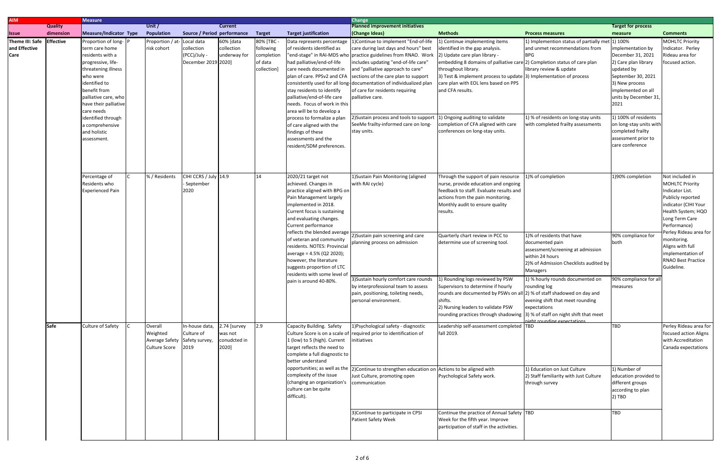| <b>AIM</b>                |                | <b>Measure</b>          |         |                            |                             |                |               |                               | <b>Change</b>                                                                                  |                                                                             |                                                          |                           |                           |
|---------------------------|----------------|-------------------------|---------|----------------------------|-----------------------------|----------------|---------------|-------------------------------|------------------------------------------------------------------------------------------------|-----------------------------------------------------------------------------|----------------------------------------------------------|---------------------------|---------------------------|
|                           | <b>Quality</b> |                         | Unit /  |                            |                             | <b>Current</b> |               |                               | <b>Planned improvement initiatives</b>                                                         |                                                                             |                                                          | <b>Target for process</b> |                           |
| Issue                     | dimension      | Measure/Indicator Type  |         | Population                 | Source / Period performance |                | <b>Target</b> | <b>Target justification</b>   | (Change Ideas)                                                                                 | <b>Methods</b>                                                              | <b>Process measures</b>                                  | measure                   | <b>Comments</b>           |
| Theme III: Safe Effective |                | Proportion of long-     |         | Proportion / at-Local data |                             | 60% [data      | 80% [TBC -    | Data represents percentage    | 1) Continue to implement "End-of-life                                                          | 1) Continue implementing items                                              | 1) Implemention status of partially met $\boxed{1}$ 100% |                           | <b>MOHLTC Priority</b>    |
| and Effective             |                | term care home          |         | risk cohort                | collection                  | collection     | following     | of residents identified as    | care during last days and hours" best                                                          | identified in the gap analysis.                                             | and unmet recommendations from                           | implementation by         | Indicator. Perley         |
| Care                      |                | residents with a        |         |                            | (PCC)/July -                | underway for   | completion    |                               | "end-stage" in RAI-MDS who practice guidelines from RNAO. Work                                 | 2) Update care plan library -                                               | <b>BPG</b>                                               | December 31, 2021         | Rideau area for           |
|                           |                | progressive, life-      |         |                            | December 2019 2020]         |                | of data       | had palliative/end-of-life    | includes updating "end-of-life care"                                                           | embedding 8 domains of palliative care (2) Completion status of care plan   |                                                          | 2) Care plan library      | focused action.           |
|                           |                | threatening illness     |         |                            |                             |                | collection]   | care needs documented in      | and "palliative approach to care"                                                              | throughout library.                                                         | library review & update                                  | updated by                |                           |
|                           |                | who were                |         |                            |                             |                |               | plan of care. PPSv2 and CFA   | sections of the care plan to support                                                           | 3) Test & implement process to update 3) Implementation of process          |                                                          | September 30, 2021        |                           |
|                           |                | identified to           |         |                            |                             |                |               |                               | consistently used for all long-documentation of individualized plan                            | care plan with EOL lens based on PPS                                        |                                                          | 3) New process            |                           |
|                           |                | benefit from            |         |                            |                             |                |               | stay residents to identify    | of care for residents requiring                                                                | and CFA results.                                                            |                                                          | implemented on all        |                           |
|                           |                |                         |         |                            |                             |                |               | palliative/end-of-life care   | palliative care.                                                                               |                                                                             |                                                          |                           |                           |
|                           |                | palliative care, who    |         |                            |                             |                |               |                               |                                                                                                |                                                                             |                                                          | units by December 31,     |                           |
|                           |                | have their palliative   |         |                            |                             |                |               | needs. Focus of work in this  |                                                                                                |                                                                             |                                                          | 2021                      |                           |
|                           |                | care needs              |         |                            |                             |                |               | area will be to develop a     | 2)Sustain process and tools to support                                                         | 1) Ongoing auditing to validate                                             | 1) % of residents on long-stay units                     | 1) 100% of residents      |                           |
|                           |                | identified through      |         |                            |                             |                |               | process to formalize a plan   |                                                                                                |                                                                             |                                                          |                           |                           |
|                           |                | a comprehensive         |         |                            |                             |                |               | of care aligned with the      | SeeMe frailty-informed care on long-                                                           | completion of CFA aligned with care                                         | with completed frailty assessments                       | on long-stay units with   |                           |
|                           |                | and holistic            |         |                            |                             |                |               | findings of these             | stay units.                                                                                    | conferences on long-stay units.                                             |                                                          | completed frailty         |                           |
|                           |                | assessment.             |         |                            |                             |                |               | assessments and the           |                                                                                                |                                                                             |                                                          | assessment prior to       |                           |
|                           |                |                         |         |                            |                             |                |               | resident/SDM preferences.     |                                                                                                |                                                                             |                                                          | care conference           |                           |
|                           |                |                         |         |                            |                             |                |               |                               |                                                                                                |                                                                             |                                                          |                           |                           |
|                           |                |                         |         |                            |                             |                |               |                               |                                                                                                |                                                                             |                                                          |                           |                           |
|                           |                |                         |         |                            |                             |                |               |                               |                                                                                                |                                                                             |                                                          |                           |                           |
|                           |                | Percentage of           |         | % / Residents              | CIHI CCRS / July 14.9       |                | 14            | $2020/21$ target not          | 1) Sustain Pain Monitoring (aligned                                                            | Through the support of pain resource                                        | $\sqrt{1}$ % of completion                               | 1)90% completion          | Not included in           |
|                           |                | Residents who           |         |                            | - September                 |                |               | achieved. Changes in          | with RAI cycle)                                                                                | nurse, provide education and ongoing                                        |                                                          |                           | <b>MOHLTC Priority</b>    |
|                           |                | <b>Experienced Pain</b> |         |                            | 2020                        |                |               | practice aligned with BPG on  |                                                                                                | feedback to staff. Evaluate results and                                     |                                                          |                           | Indicator List.           |
|                           |                |                         |         |                            |                             |                |               | Pain Management largely       |                                                                                                | actions from the pain monitoring.                                           |                                                          |                           | Publicly reported         |
|                           |                |                         |         |                            |                             |                |               | implemented in 2018.          |                                                                                                | Monthly audit to ensure quality                                             |                                                          |                           | indicator (CIHI Your      |
|                           |                |                         |         |                            |                             |                |               | Current focus is sustaining   |                                                                                                | results.                                                                    |                                                          |                           | Health System; HQO        |
|                           |                |                         |         |                            |                             |                |               | and evaluating changes.       |                                                                                                |                                                                             |                                                          |                           | Long Term Care            |
|                           |                |                         |         |                            |                             |                |               | Current performance           |                                                                                                |                                                                             |                                                          |                           | Performance)              |
|                           |                |                         |         |                            |                             |                |               |                               |                                                                                                |                                                                             |                                                          |                           | Perley Rideau area for    |
|                           |                |                         |         |                            |                             |                |               | of veteran and community      | reflects the blended average 2)Sustain pain screening and care                                 | Quarterly chart review in PCC to                                            | 1)% of residents that have                               | 90% compliance for        | monitoring.               |
|                           |                |                         |         |                            |                             |                |               | residents. NOTES: Provincial  | planning process on admission                                                                  | determine use of screening tool.                                            | documented pain                                          | both                      | Aligns with full          |
|                           |                |                         |         |                            |                             |                |               | average = 4.5% (Q2 2020);     |                                                                                                |                                                                             | assessment/screening at admission                        |                           | implementation of         |
|                           |                |                         |         |                            |                             |                |               | however, the literature       |                                                                                                |                                                                             | within 24 hours                                          |                           | <b>RNAO Best Practice</b> |
|                           |                |                         |         |                            |                             |                |               | suggests proportion of LTC    |                                                                                                |                                                                             | 2)% of Admission Checklists audited by                   |                           | Guideline.                |
|                           |                |                         |         |                            |                             |                |               | residents with some level of  |                                                                                                |                                                                             | <b>Managers</b>                                          |                           |                           |
|                           |                |                         |         |                            |                             |                |               | pain is around 40-80%.        | 3) Sustain hourly comfort care rounds                                                          | 1) Rounding logs reviewed by PSW                                            | 1) % hourly rounds documented on                         | 90% compliance for all    |                           |
|                           |                |                         |         |                            |                             |                |               |                               | by interprofessional team to assess                                                            | Supervisors to determine if hourly                                          | rounding log                                             | measures                  |                           |
|                           |                |                         |         |                            |                             |                |               |                               | pain, positioning, toileting needs,                                                            | rounds are documented by PSWs on all 2) % of staff shadowed on day and      |                                                          |                           |                           |
|                           |                |                         |         |                            |                             |                |               |                               | personal environment.                                                                          | shifts.                                                                     | evening shift that meet rounding                         |                           |                           |
|                           |                |                         |         |                            |                             |                |               |                               |                                                                                                | 2) Nursing leaders to validate PSW                                          | expectations                                             |                           |                           |
|                           |                |                         |         |                            |                             |                |               |                               |                                                                                                | rounding practices through shadowing 3) % of staff on night shift that meet |                                                          |                           |                           |
|                           |                |                         |         |                            |                             |                |               |                               |                                                                                                |                                                                             | night rounding expectations                              |                           |                           |
|                           | <b>Safe</b>    | Culture of Safety       | Overall |                            | In-house data,              | 2.74 [survey   | 2.9           | Capacity Building. Safety     | 1) Psychological safety - diagnostic                                                           | Leadership self-assessment completed TBD                                    |                                                          | <b>TBD</b>                | Perley Rideau area for    |
|                           |                |                         |         | Weighted                   | Culture of                  | was not        |               |                               | Culture Score is on a scale of required prior to identification of                             | fall 2019.                                                                  |                                                          |                           | focused action Aligns     |
|                           |                |                         |         | Average Safety             | Safety survey,              | conudcted in   |               | 1 (low) to 5 (high). Current  | initiatives                                                                                    |                                                                             |                                                          |                           | with Accreditation        |
|                           |                |                         |         | <b>Culture Score</b>       | 2019                        | 2020]          |               | target reflects the need to   |                                                                                                |                                                                             |                                                          |                           | Canada expectations       |
|                           |                |                         |         |                            |                             |                |               | complete a full diagnostic to |                                                                                                |                                                                             |                                                          |                           |                           |
|                           |                |                         |         |                            |                             |                |               | better understand             |                                                                                                |                                                                             |                                                          |                           |                           |
|                           |                |                         |         |                            |                             |                |               |                               | opportunities; as well as the 2)Continue to strengthen education on Actions to be aligned with |                                                                             | 1) Education on Just Culture                             | 1) Number of              |                           |
|                           |                |                         |         |                            |                             |                |               | complexity of the issue       | Just Culture, promoting open                                                                   | Psychological Safety work.                                                  | 2) Staff familiarity with Just Culture                   | education provided to     |                           |
|                           |                |                         |         |                            |                             |                |               | (changing an organization's   | communication                                                                                  |                                                                             | through survey                                           | different groups          |                           |
|                           |                |                         |         |                            |                             |                |               | culture can be quite          |                                                                                                |                                                                             |                                                          | according to plan         |                           |
|                           |                |                         |         |                            |                             |                |               | difficult).                   |                                                                                                |                                                                             |                                                          | 2) TBD                    |                           |
|                           |                |                         |         |                            |                             |                |               |                               |                                                                                                |                                                                             |                                                          |                           |                           |
|                           |                |                         |         |                            |                             |                |               |                               |                                                                                                |                                                                             |                                                          |                           |                           |
|                           |                |                         |         |                            |                             |                |               |                               | 3) Continue to participate in CPSI                                                             | Continue the practice of Annual Safety TBD                                  |                                                          | <b>TBD</b>                |                           |
|                           |                |                         |         |                            |                             |                |               |                               | Patient Safety Week                                                                            | Week for the fifth year. Improve                                            |                                                          |                           |                           |
|                           |                |                         |         |                            |                             |                |               |                               |                                                                                                | participation of staff in the activities.                                   |                                                          |                           |                           |
|                           |                |                         |         |                            |                             |                |               |                               |                                                                                                |                                                                             |                                                          |                           |                           |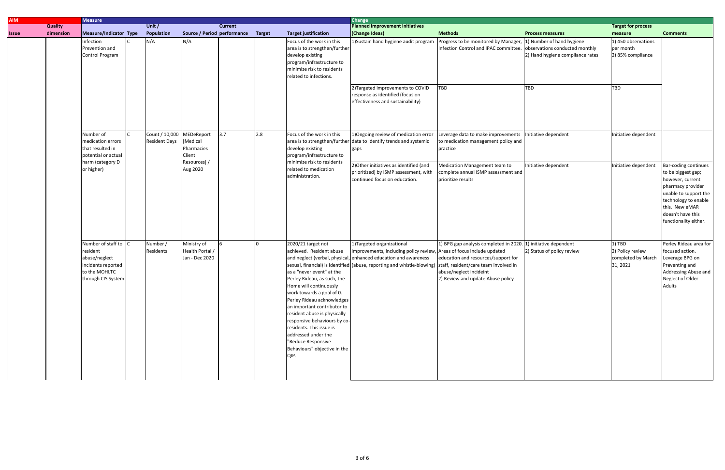| <b>AIM</b> |                | <b>Measure</b>                                                                                              |  |                                        |                                                                            |                                    |     |                                                                                                                                                                                                                                                                                                                                                                                           | <b>Change</b>                                                                                                                                                                                                                            |                                                                                                                                                                                                            |                                                                                                               |                                                              |                                                                                                                                                              |
|------------|----------------|-------------------------------------------------------------------------------------------------------------|--|----------------------------------------|----------------------------------------------------------------------------|------------------------------------|-----|-------------------------------------------------------------------------------------------------------------------------------------------------------------------------------------------------------------------------------------------------------------------------------------------------------------------------------------------------------------------------------------------|------------------------------------------------------------------------------------------------------------------------------------------------------------------------------------------------------------------------------------------|------------------------------------------------------------------------------------------------------------------------------------------------------------------------------------------------------------|---------------------------------------------------------------------------------------------------------------|--------------------------------------------------------------|--------------------------------------------------------------------------------------------------------------------------------------------------------------|
|            | <b>Quality</b> |                                                                                                             |  | Unit /                                 |                                                                            | <b>Current</b>                     |     |                                                                                                                                                                                                                                                                                                                                                                                           | <b>Planned improvement initiatives</b>                                                                                                                                                                                                   |                                                                                                                                                                                                            |                                                                                                               | <b>Target for process</b>                                    |                                                                                                                                                              |
| Issue      | dimension      | Measure/Indicator Type                                                                                      |  | Population                             |                                                                            | Source / Period performance Target |     | <b>Target justification</b>                                                                                                                                                                                                                                                                                                                                                               | (Change Ideas)                                                                                                                                                                                                                           | <b>Methods</b>                                                                                                                                                                                             | <b>Process measures</b>                                                                                       | measure                                                      | <b>Comments</b>                                                                                                                                              |
|            |                | Infection<br>Prevention and<br>Control Program                                                              |  | N/A                                    | N/A                                                                        |                                    |     | Focus of the work in this<br>area is to strengthen/further<br>develop existing<br>program/infrastructure to<br>minimize risk to residents<br>related to infections.                                                                                                                                                                                                                       | 1) Sustain hand hygiene audit program<br>2) Targeted improvements to COVID<br>response as identified (focus on<br>effectiveness and sustainability)                                                                                      | Progress to be monitored by Manager,<br>Infection Control and IPAC committee.<br>TBD                                                                                                                       | 1) Number of hand hygiene<br>observations conducted monthly<br>2) Hand hygiene compliance rates<br><b>TBD</b> | 1) 450 observations<br>per month<br>2) 85% compliance<br>TBD |                                                                                                                                                              |
|            |                | Number of<br>medication errors<br>that resulted in<br>potential or actual<br>harm (category D<br>or higher) |  | Count / 10,000<br><b>Resident Days</b> | MEDeReport<br>[Medical<br>Pharmacies<br>Client<br>Resources] /<br>Aug 2020 | 3.7                                | 2.8 | Focus of the work in this<br>develop existing<br>program/infrastructure to<br>minimize risk to residents<br>related to medication<br>administration.                                                                                                                                                                                                                                      | 1) Ongoing review of medication error<br>area is to strengthen/further data to identify trends and systemic<br>gaps<br>2) Other initiatives as identified (and<br>prioritized) by ISMP assessment, with<br>continued focus on education. | Leverage data to make improvements   Initiative dependent<br>to medication management policy and<br>practice<br>Medication Management team to<br>complete annual ISMP assessment and<br>prioritize results | Initiative dependent                                                                                          | Initiative dependent<br>Initiative dependent                 | Bar-coding continues<br>to be biggest gap;<br>however, current                                                                                               |
|            |                | Number of staff to                                                                                          |  | Number /                               | Ministry of                                                                |                                    |     | 2020/21 target not                                                                                                                                                                                                                                                                                                                                                                        | 1)Targeted organizational                                                                                                                                                                                                                | 1) BPG gap analysis completed in 2020.                                                                                                                                                                     | . 1) initiative dependent                                                                                     | 1) TBD                                                       | pharmacy provider<br>unable to support the<br>technology to enable<br>this. New eMAR<br>doesn't have this<br>functionality either.<br>Perley Rideau area for |
|            |                | resident<br>abuse/neglect<br>incidents reported<br>to the MOHLTC<br>through CIS System                      |  | Residents                              | Health Portal<br>Jan - Dec 2020                                            |                                    |     | achieved. Resident abuse<br>as a "never event" at the<br>Perley Rideau, as such, the<br>Home will continuously<br>work towards a goal of 0.<br>Perley Rideau acknowledges<br>an important contributor to<br>resident abuse is physically<br>responsive behaviours by co-<br>residents. This issue is<br>addressed under the<br>"Reduce Responsive<br>Behaviours" objective in the<br>QIP. | improvements, including policy review, Areas of focus include updated<br>and neglect (verbal, physical, enhanced education and awareness<br>sexual, financial) is identified (abuse, reporting and whistle-blowing)                      | education and resources/support for<br>staff, resident/care team involved in<br>abuse/neglect incideint<br>2) Review and update Abuse policy                                                               | 2) Status of policy review                                                                                    | 2) Policy review<br>completed by March<br>31, 2021           | focused action.<br>Leverage BPG on<br>Preventing and<br>Addressing Abuse and<br>Neglect of Older<br>Adults                                                   |
|            |                |                                                                                                             |  |                                        |                                                                            |                                    |     |                                                                                                                                                                                                                                                                                                                                                                                           |                                                                                                                                                                                                                                          |                                                                                                                                                                                                            |                                                                                                               |                                                              |                                                                                                                                                              |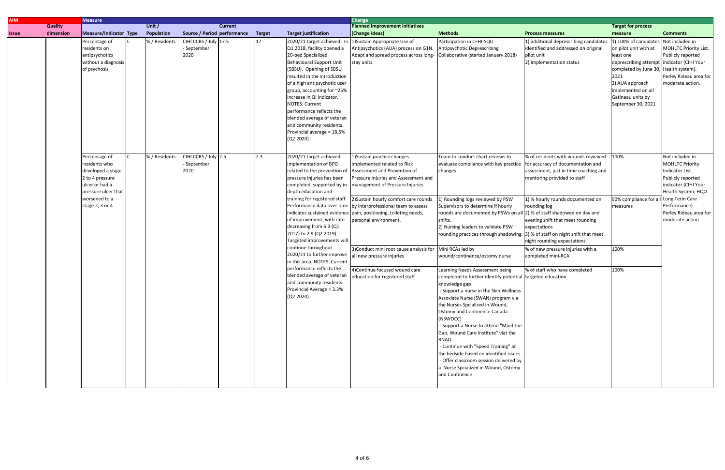| <b>AIM</b>   |                          | <b>Measure</b>                                                                                                                                      |  |                   |                                            |  |               |                                                                                                                                                                                                                                                                                                                                                                                                                                     | <b>Change</b>                                                                                                                                                                                                                                                                                                                                                                                                                                                                                        |                                                                                                                                                                                                                                                                                                                                                                                                                                                                                                                                                                  |                                                                                                                                                                                                                                                                                                                                                    |                                                                                                                                                                                                                                                |                                                                                                                                                                                              |
|--------------|--------------------------|-----------------------------------------------------------------------------------------------------------------------------------------------------|--|-------------------|--------------------------------------------|--|---------------|-------------------------------------------------------------------------------------------------------------------------------------------------------------------------------------------------------------------------------------------------------------------------------------------------------------------------------------------------------------------------------------------------------------------------------------|------------------------------------------------------------------------------------------------------------------------------------------------------------------------------------------------------------------------------------------------------------------------------------------------------------------------------------------------------------------------------------------------------------------------------------------------------------------------------------------------------|------------------------------------------------------------------------------------------------------------------------------------------------------------------------------------------------------------------------------------------------------------------------------------------------------------------------------------------------------------------------------------------------------------------------------------------------------------------------------------------------------------------------------------------------------------------|----------------------------------------------------------------------------------------------------------------------------------------------------------------------------------------------------------------------------------------------------------------------------------------------------------------------------------------------------|------------------------------------------------------------------------------------------------------------------------------------------------------------------------------------------------------------------------------------------------|----------------------------------------------------------------------------------------------------------------------------------------------------------------------------------------------|
|              | <b>Quality</b><br>Unit / |                                                                                                                                                     |  |                   | <b>Current</b>                             |  |               | <b>Planned improvement initiatives</b>                                                                                                                                                                                                                                                                                                                                                                                              | <b>Target for process</b>                                                                                                                                                                                                                                                                                                                                                                                                                                                                            |                                                                                                                                                                                                                                                                                                                                                                                                                                                                                                                                                                  |                                                                                                                                                                                                                                                                                                                                                    |                                                                                                                                                                                                                                                |                                                                                                                                                                                              |
| <b>Issue</b> | dimension                | Measure/Indicator Type                                                                                                                              |  | <b>Population</b> | Source / Period performance                |  | <b>Target</b> | <b>Target justification</b>                                                                                                                                                                                                                                                                                                                                                                                                         | (Change Ideas)                                                                                                                                                                                                                                                                                                                                                                                                                                                                                       | <b>Methods</b>                                                                                                                                                                                                                                                                                                                                                                                                                                                                                                                                                   | <b>Process measures</b>                                                                                                                                                                                                                                                                                                                            | measure                                                                                                                                                                                                                                        | <b>Comments</b>                                                                                                                                                                              |
|              |                          | Percentage of<br>residents on<br>antipsychotics<br>without a diagnosis<br>of psychosis                                                              |  | % / Residents     | CIHI CCRS / July 17.5<br>September<br>2020 |  | 17            | 2020/21 target achieved. In<br>Q1 2018, facility opened a<br>20-bed Specialized<br><b>Behavioural Support Unit</b><br>(SBSU). Opening of SBSU<br>resulted in the introduction<br>of a high antipsychotic user<br>group, accounting for ~25%<br>increase in QI indicator.<br><b>NOTES: Current</b><br>performance reflects the<br>blended average of veteran<br>and community residents.<br>Provincial average = 18.5%<br>(Q2 2020). | 1) Sustain Appropriate Use of<br>Antipsychotics (AUA) process on G1N.<br>Adapt and spread process across long-<br>stay units.                                                                                                                                                                                                                                                                                                                                                                        | Participation in CFHI-SQLI<br>Antipsychotic Deprescribing<br>Collaborative (started January 2018)                                                                                                                                                                                                                                                                                                                                                                                                                                                                | 1) additional deprescribing candidates<br>identified and addressed on original<br>pilot unit<br>2) implementation status                                                                                                                                                                                                                           | 1) 100% of candidates<br>on pilot unit with at<br>least one<br>deprescribing attempt indicator (CIHI Your<br>completed by June 30, Health system).<br>2021<br>2) AUA approach<br>implemented on all<br>Gatineau units by<br>September 30, 2021 | Not included in<br>MOHLTC Priority List.<br>Publicly reported<br>Perley Rideau area for<br>moderate action.                                                                                  |
|              |                          | Percentage of<br>residents who<br>developed a stage<br>2 to 4 pressure<br>ulcer or had a<br>pressure ulcer that<br>worsened to a<br>stage 2, 3 or 4 |  | % / Residents     | CIHI CCRS / July 2.5<br>September<br>2020  |  | 2.3           | 2020/21 target achieved.<br>Implementation of BPG<br>related to the prevention of<br>pressure injuries has been<br>depth education and<br>training for registered staff.<br>of improvement, with rate<br>decreasing from 6.3 (Q1<br>2017) to 2.9 (Q2 2019).<br>Targeted improvements will<br>continue throughout<br>2020/21 to further improve                                                                                      | 1) Sustain practice changes<br>implemented related to Risk<br>Assessment and Prevention of<br>Pressure Injuries and Assessment and<br>completed, supported by in-   management of Pressure Injuries<br>2) Sustain hourly comfort care rounds<br>Performance data over time by interprofessional team to assess<br>indicates sustained evidence pain, positioning, toileting needs,<br>personal environment.<br>3) Conduct mini root cause analysis for Mini RCAs led by<br>all new pressure injuries | Team to conduct chart reviews to<br>evaluate compliance with key practice<br>changes<br>1) Rounding logs reviewed by PSW<br>Supervisors to determine if hourly<br>rounds are documented by PSWs on all 2) % of staff shadowed on day and<br>shifts.<br>2) Nursing leaders to validate PSW<br>rounding practices through shadowing 3) % of staff on night shift that meet<br>wound/continence/ostomy nurse                                                                                                                                                        | % of residents with wounds reviewed<br>for accuracy of documentation and<br>assessment, just in time coaching and<br>mentoring provided to staff<br>1) % hourly rounds documented on<br>rounding log<br>evening shift that meet rounding<br>expectations<br>night rounding expectations<br>% of new pressure injuries with a<br>completed mini-RCA | 100%<br>90% compliance for all Long Term Care<br>measures<br>100%                                                                                                                                                                              | Not included in<br><b>MOHLTC Priority</b><br>Indicator List.<br>Publicly reported<br>indicator (CIHI Your<br>Health System; HQO<br>Performance)<br>Perley Rideau area for<br>moderate action |
|              |                          |                                                                                                                                                     |  |                   |                                            |  |               | in this area. NOTES: Current<br>performance reflects the<br>blended average of veteran<br>and community residents.<br>Provincial Average = 3.3%<br>(Q2 2020).                                                                                                                                                                                                                                                                       | 4) Continue focused wound care<br>education for registered staff                                                                                                                                                                                                                                                                                                                                                                                                                                     | Learning Needs Assessment being<br>completed to further identify potential targeted education<br>knowledge gap<br>- Support a nurse in the Skin Wellness<br>Assoxiate Nurse (SWAN) program via<br>the Nurses Spcialized in Wound,<br>Ostomy and Continence Canada<br>(NSWOCC)<br>- Support a Nurse to attend "Mind the<br>Gap, Wound Care Institute" viat the<br><b>RNAO</b><br>- Continue with "Speed Training" at<br>the bedside based on identified issues<br>- Offer classroom session delivered by<br>a Nurse Spcialized in Wound, Ostomy<br>and Continence | % of staff who have completed                                                                                                                                                                                                                                                                                                                      | 100%                                                                                                                                                                                                                                           |                                                                                                                                                                                              |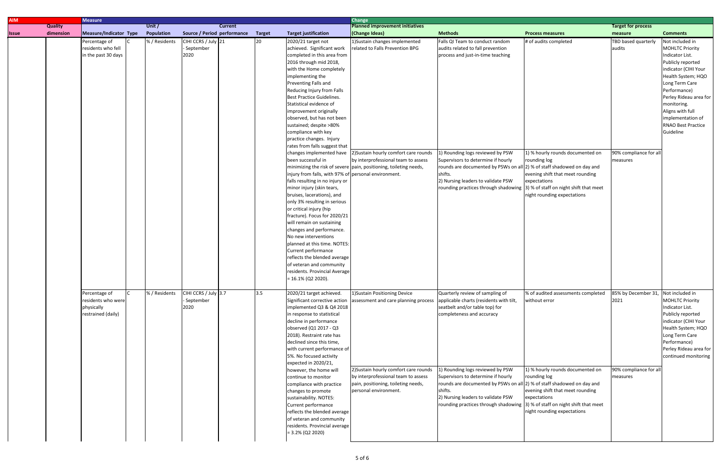| <b>Measure</b>                                                          |                        |                      |                                                                                              |                                                                                                                                                                                                                                                                                                                                                                                                                                                                                                                                                                                                                                                                                                                                                                                                                                                                                               | <b>Change</b>                                                                                                                                   |                                                                                                                                                                                                                                                                                                                                                                                                                                                                                                                                                                                           |                                                                                                                                                                                            |                                                                                                                                                                                                                                                                                                                                           |                                                                                                                                                                                                                                                                                               |
|-------------------------------------------------------------------------|------------------------|----------------------|----------------------------------------------------------------------------------------------|-----------------------------------------------------------------------------------------------------------------------------------------------------------------------------------------------------------------------------------------------------------------------------------------------------------------------------------------------------------------------------------------------------------------------------------------------------------------------------------------------------------------------------------------------------------------------------------------------------------------------------------------------------------------------------------------------------------------------------------------------------------------------------------------------------------------------------------------------------------------------------------------------|-------------------------------------------------------------------------------------------------------------------------------------------------|-------------------------------------------------------------------------------------------------------------------------------------------------------------------------------------------------------------------------------------------------------------------------------------------------------------------------------------------------------------------------------------------------------------------------------------------------------------------------------------------------------------------------------------------------------------------------------------------|--------------------------------------------------------------------------------------------------------------------------------------------------------------------------------------------|-------------------------------------------------------------------------------------------------------------------------------------------------------------------------------------------------------------------------------------------------------------------------------------------------------------------------------------------|-----------------------------------------------------------------------------------------------------------------------------------------------------------------------------------------------------------------------------------------------------------------------------------------------|
|                                                                         |                        |                      |                                                                                              |                                                                                                                                                                                                                                                                                                                                                                                                                                                                                                                                                                                                                                                                                                                                                                                                                                                                                               |                                                                                                                                                 |                                                                                                                                                                                                                                                                                                                                                                                                                                                                                                                                                                                           |                                                                                                                                                                                            |                                                                                                                                                                                                                                                                                                                                           |                                                                                                                                                                                                                                                                                               |
|                                                                         |                        |                      |                                                                                              |                                                                                                                                                                                                                                                                                                                                                                                                                                                                                                                                                                                                                                                                                                                                                                                                                                                                                               |                                                                                                                                                 |                                                                                                                                                                                                                                                                                                                                                                                                                                                                                                                                                                                           |                                                                                                                                                                                            |                                                                                                                                                                                                                                                                                                                                           | <b>Comments</b>                                                                                                                                                                                                                                                                               |
| Percentage of<br>residents who fell<br>in the past 30 days              | % / Residents          | - September<br>2020  | 20                                                                                           | 2020/21 target not<br>achieved. Significant work<br>completed in this area from<br>2016 through mid 2018,<br>with the Home completely<br>implementing the<br>Preventing Falls and<br>Reducing Injury from Falls<br><b>Best Practice Guidelines.</b><br>Statistical evidence of<br>improvement originally<br>observed, but has not been<br>sustained; despite >80%<br>compliance with key<br>practice changes. Injury<br>rates from falls suggest that<br>changes implemented have<br>been successful in<br>falls resulting in no injury or<br>minor injury (skin tears,<br>bruises, lacerations), and<br>only 3% resulting in serious<br>or critical injury (hip<br>will remain on sustaining<br>changes and performance.<br>No new interventions<br>planned at this time. NOTES:<br>Current performance<br>reflects the blended average<br>of veteran and community<br>$= 16.1\%$ (Q2 2020). | 2) Sustain hourly comfort care rounds                                                                                                           | Falls QI Team to conduct random<br>audits related to fall prevention<br>process and just-in-time teaching<br>1) Rounding logs reviewed by PSW<br>Supervisors to determine if hourly<br>shifts.<br>2) Nursing leaders to validate PSW                                                                                                                                                                                                                                                                                                                                                      | # of audits completed<br>1) % hourly rounds documented on<br>rounding log<br>evening shift that meet rounding<br>expectations<br>night rounding expectations                               | TBD based quarterly<br>audits<br>90% compliance for al<br>measures                                                                                                                                                                                                                                                                        | Not included in<br><b>MOHLTC Priority</b><br>Indicator List.<br>Publicly reported<br>indicator (CIHI Your<br>Health System; HQO<br>Long Term Care<br>Performance)<br>Perley Rideau area for<br>monitoring.<br>Aligns with full<br>implementation of<br><b>RNAO Best Practice</b><br>Guideline |
| Percentage of<br>residents who were<br>physically<br>restrained (daily) | % / Residents          | - September<br>2020  | 3.5                                                                                          | 2020/21 target achieved.<br>Significant corrective action<br>in response to statistical<br>decline in performance<br>observed (Q1 2017 - Q3<br>2018). Restraint rate has<br>declined since this time,<br>5%. No focused activity<br>expected in 2020/21,<br>however, the home will<br>continue to monitor<br>compliance with practice<br>changes to promote<br>sustainability. NOTES:<br>Current performance<br>of veteran and community                                                                                                                                                                                                                                                                                                                                                                                                                                                      | 1)Sustain Positioning Device                                                                                                                    | Quarterly review of sampling of<br>applicable charts (residents with tilt,<br>seatbelt and/or table top) for<br>completeness and accuracy<br>1) Rounding logs reviewed by PSW<br>Supervisors to determine if hourly<br>shifts.<br>2) Nursing leaders to validate PSW                                                                                                                                                                                                                                                                                                                      | % of audited assessments completed<br>without error<br>1) % hourly rounds documented on<br>rounding log<br>evening shift that meet rounding<br>expectations<br>night rounding expectations | 85% by December 31,<br>2021<br>measures                                                                                                                                                                                                                                                                                                   | Not included in<br><b>MOHLTC Priority</b><br>Indicator List.<br>Publicly reported<br>indicator (CIHI Your<br>Health System; HQO<br>Long Term Care<br>Performance)<br>Perley Rideau area for<br>continued monitoring                                                                           |
| <b>Quality</b><br>dimension                                             | Measure/Indicator Type | Unit /<br>Population | <b>Current</b><br>Source / Period performance<br>CIHI CCRS / July 21<br>CIHI CCRS / July 3.7 | Target                                                                                                                                                                                                                                                                                                                                                                                                                                                                                                                                                                                                                                                                                                                                                                                                                                                                                        | <b>Target justification</b><br>fracture). Focus for 2020/21<br>implemented Q3 & Q4 2018<br>residents. Provincial average<br>$= 3.2\% (Q2 2020)$ | <b>Planned improvement initiatives</b><br>(Change Ideas)<br>1) Sustain changes implemented<br>related to Falls Prevention BPG<br>by interprofessional team to assess<br>minimizing the risk of severe pain, positioning, toileting needs,<br>injury from falls, with 97% of personal environment.<br>residents. Provincial Average<br>assessment and care planning process<br>with current performance of<br>2) Sustain hourly comfort care rounds<br>by interprofessional team to assess<br>pain, positioning, toileting needs,<br>personal environment.<br>reflects the blended average | <b>Methods</b>                                                                                                                                                                             | <b>Process measures</b><br>rounds are documented by PSWs on all 2) % of staff shadowed on day and<br>rounding practices through shadowing 3) % of staff on night shift that meet<br>rounds are documented by PSWs on all 2) % of staff shadowed on day and<br>rounding practices through shadowing 3) % of staff on night shift that meet | <b>Target for process</b><br>measure<br>90% compliance for all                                                                                                                                                                                                                                |